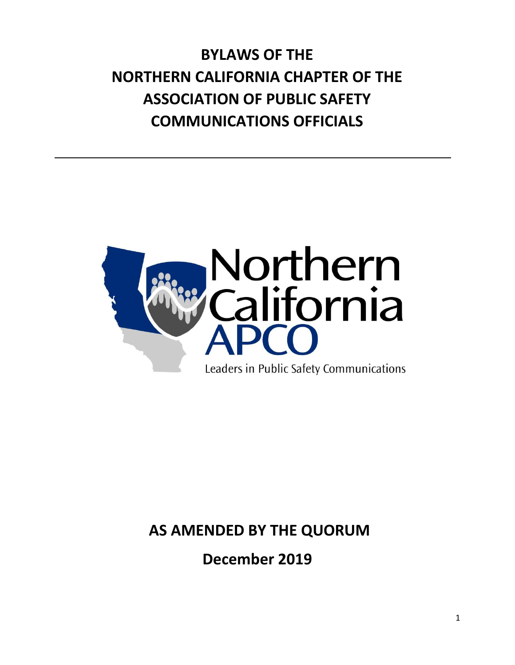**BYLAWS OF THE NORTHERN CALIFORNIA CHAPTER OF THE ASSOCIATION OF PUBLIC SAFETY COMMUNICATIONS OFFICIALS**



## **AS AMENDED BY THE QUORUM**

**December 2019**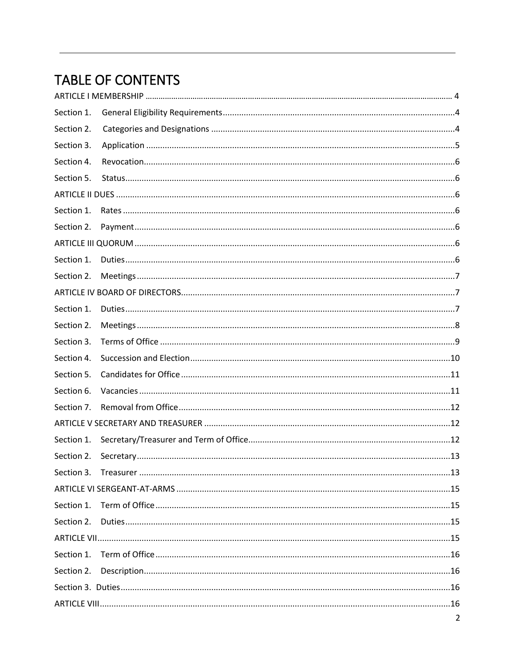## TABLE OF CONTENTS

| Section 1. |  |
|------------|--|
| Section 2. |  |
| Section 3. |  |
| Section 4. |  |
| Section 5. |  |
|            |  |
| Section 1. |  |
| Section 2. |  |
|            |  |
| Section 1. |  |
| Section 2. |  |
|            |  |
| Section 1. |  |
| Section 2. |  |
| Section 3. |  |
| Section 4. |  |
| Section 5. |  |
| Section 6. |  |
| Section 7. |  |
|            |  |
| Section 1. |  |
| Section 2. |  |
|            |  |
|            |  |
|            |  |
|            |  |
|            |  |
|            |  |
| Section 2. |  |
|            |  |
|            |  |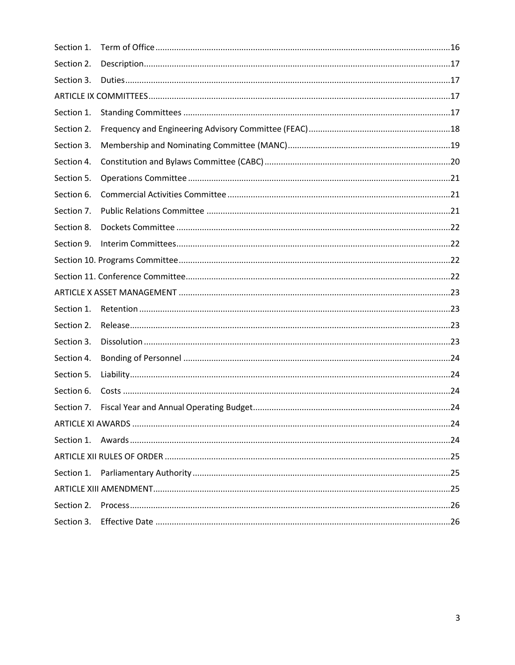| Section 1. |  |
|------------|--|
| Section 2. |  |
| Section 3. |  |
|            |  |
| Section 1. |  |
| Section 2. |  |
| Section 3. |  |
| Section 4. |  |
| Section 5. |  |
| Section 6. |  |
| Section 7. |  |
| Section 8. |  |
| Section 9. |  |
|            |  |
|            |  |
|            |  |
| Section 1. |  |
| Section 2. |  |
| Section 3. |  |
| Section 4. |  |
| Section 5. |  |
|            |  |
| Section 6. |  |
| Section 7. |  |
|            |  |
|            |  |
|            |  |
| Section 1. |  |
|            |  |
| Section 2. |  |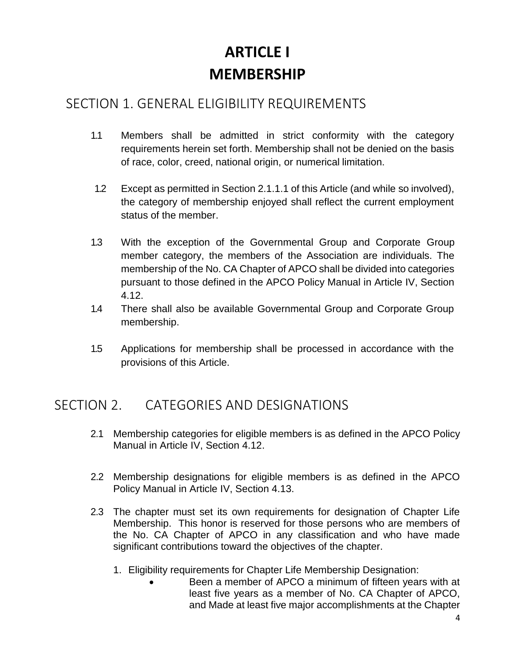# **ARTICLE I MEMBERSHIP**

#### <span id="page-3-0"></span>SECTION 1. GENERAL ELIGIBILITY REQUIREMENTS

- 1.1 Members shall be admitted in strict conformity with the category requirements herein set forth. Membership shall not be denied on the basis of race, color, creed, national origin, or numerical limitation.
- 1.2 Except as permitted in Section 2.1.1.1 of this Article (and while so involved), the category of membership enjoyed shall reflect the current employment status of the member.
- 1.3 With the exception of the Governmental Group and Corporate Group member category, the members of the Association are individuals. The membership of the No. CA Chapter of APCO shall be divided into categories pursuant to those defined in the APCO Policy Manual in Article IV, Section 4.12.
- 1.4 There shall also be available Governmental Group and Corporate Group membership.
- 1.5 Applications for membership shall be processed in accordance with the provisions of this Article.

### <span id="page-3-1"></span>SECTION 2. CATEGORIES AND DESIGNATIONS

- 2.1 Membership categories for eligible members is as defined in the APCO Policy Manual in Article IV, Section 4.12.
- 2.2 Membership designations for eligible members is as defined in the APCO Policy Manual in Article IV, Section 4.13.
- 2.3 The chapter must set its own requirements for designation of Chapter Life Membership. This honor is reserved for those persons who are members of the No. CA Chapter of APCO in any classification and who have made significant contributions toward the objectives of the chapter.
	- 1. Eligibility requirements for Chapter Life Membership Designation:
		- Been a member of APCO a minimum of fifteen years with at least five years as a member of No. CA Chapter of APCO, and Made at least five major accomplishments at the Chapter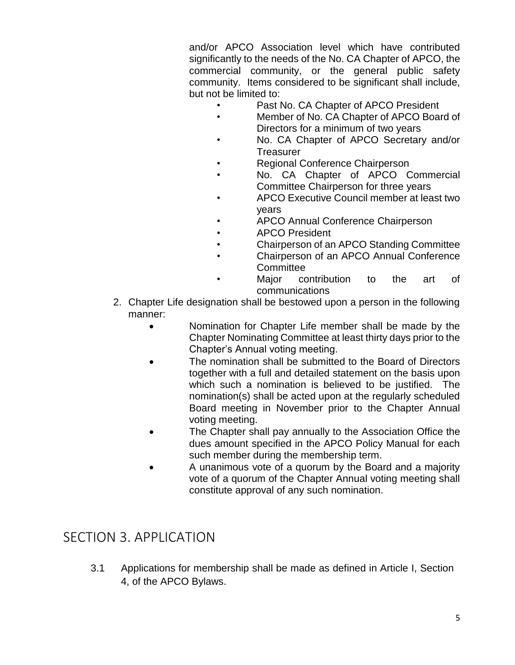and/or APCO Association level which have contributed significantly to the needs of the No. CA Chapter of APCO, the commercial community, or the general public safety community. Items considered to be significant shall include, but not be limited to:

- Past No. CA Chapter of APCO President
- Member of No. CA Chapter of APCO Board of Directors for a minimum of two years
- No. CA Chapter of APCO Secretary and/or **Treasurer**
- Regional Conference Chairperson
- No. CA Chapter of APCO Commercial Committee Chairperson for three years
- APCO Executive Council member at least two years
- APCO Annual Conference Chairperson
- APCO President
	- Chairperson of an APCO Standing Committee
- Chairperson of an APCO Annual Conference **Committee**
- Major contribution to the art of communications
- 2. Chapter Life designation shall be bestowed upon a person in the following manner:
	- Nomination for Chapter Life member shall be made by the Chapter Nominating Committee at least thirty days prior to the Chapter's Annual voting meeting.
	- The nomination shall be submitted to the Board of Directors together with a full and detailed statement on the basis upon which such a nomination is believed to be justified. The nomination(s) shall be acted upon at the regularly scheduled Board meeting in November prior to the Chapter Annual voting meeting.
	- The Chapter shall pay annually to the Association Office the dues amount specified in the APCO Policy Manual for each such member during the membership term.
	- A unanimous vote of a quorum by the Board and a majority vote of a quorum of the Chapter Annual voting meeting shall constitute approval of any such nomination.

#### <span id="page-4-0"></span>SECTION 3. APPLICATION

3.1 Applications for membership shall be made as defined in Article I, Section 4, of the APCO Bylaws.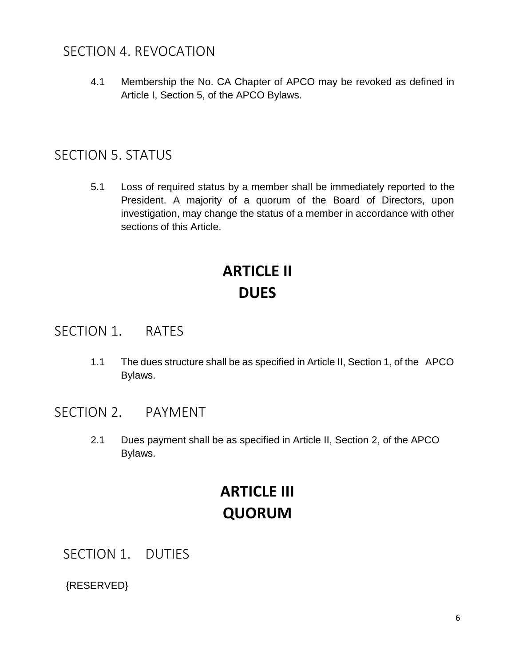### <span id="page-5-0"></span>SECTION 4. REVOCATION

4.1 Membership the No. CA Chapter of APCO may be revoked as defined in Article I, Section 5, of the APCO Bylaws.

#### <span id="page-5-1"></span>SECTION 5. STATUS

5.1 Loss of required status by a member shall be immediately reported to the President. A majority of a quorum of the Board of Directors, upon investigation, may change the status of a member in accordance with other sections of this Article.

# **ARTICLE II DUES**

#### <span id="page-5-3"></span><span id="page-5-2"></span>SECTION 1. RATES

- 1.1 The dues structure shall be as specified in Article II, Section 1, of the APCO Bylaws.
- <span id="page-5-4"></span>SECTION 2. PAYMENT
	- 2.1 Dues payment shall be as specified in Article II, Section 2, of the APCO Bylaws.

## **ARTICLE III QUORUM**

<span id="page-5-6"></span><span id="page-5-5"></span>SECTION 1. DUTIES

{RESERVED}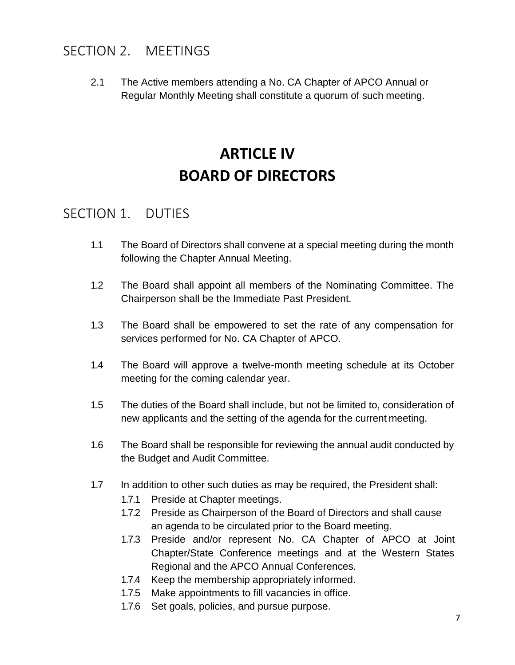### <span id="page-6-0"></span>SECTION 2. MEETINGS

2.1 The Active members attending a No. CA Chapter of APCO Annual or Regular Monthly Meeting shall constitute a quorum of such meeting.

# **ARTICLE IV BOARD OF DIRECTORS**

#### <span id="page-6-2"></span><span id="page-6-1"></span>SECTION 1. DUTIES

- 1.1 The Board of Directors shall convene at a special meeting during the month following the Chapter Annual Meeting.
- 1.2 The Board shall appoint all members of the Nominating Committee. The Chairperson shall be the Immediate Past President.
- 1.3 The Board shall be empowered to set the rate of any compensation for services performed for No. CA Chapter of APCO.
- 1.4 The Board will approve a twelve-month meeting schedule at its October meeting for the coming calendar year.
- 1.5 The duties of the Board shall include, but not be limited to, consideration of new applicants and the setting of the agenda for the current meeting.
- 1.6 The Board shall be responsible for reviewing the annual audit conducted by the Budget and Audit Committee.
- 1.7 In addition to other such duties as may be required, the President shall:
	- 1.7.1 Preside at Chapter meetings.
	- 1.7.2 Preside as Chairperson of the Board of Directors and shall cause an agenda to be circulated prior to the Board meeting.
	- 1.7.3 Preside and/or represent No. CA Chapter of APCO at Joint Chapter/State Conference meetings and at the Western States Regional and the APCO Annual Conferences.
	- 1.7.4 Keep the membership appropriately informed.
	- 1.7.5 Make appointments to fill vacancies in office.
	- 1.7.6 Set goals, policies, and pursue purpose.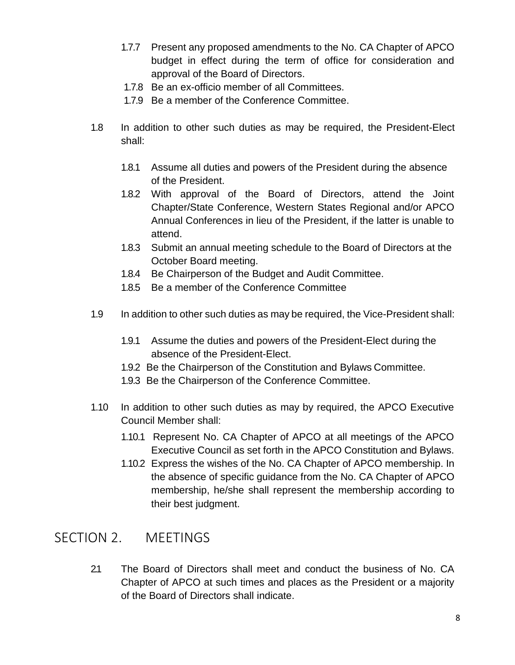- 1.7.7 Present any proposed amendments to the No. CA Chapter of APCO budget in effect during the term of office for consideration and approval of the Board of Directors.
- 1.7.8 Be an ex-officio member of all Committees.
- 1.7.9 Be a member of the Conference Committee.
- 1.8 In addition to other such duties as may be required, the President-Elect shall:
	- 1.8.1 Assume all duties and powers of the President during the absence of the President.
	- 1.8.2 With approval of the Board of Directors, attend the Joint Chapter/State Conference, Western States Regional and/or APCO Annual Conferences in lieu of the President, if the latter is unable to attend.
	- 1.8.3 Submit an annual meeting schedule to the Board of Directors at the October Board meeting.
	- 1.8.4 Be Chairperson of the Budget and Audit Committee.
	- 1.8.5 Be a member of the Conference Committee
- 1.9 In addition to other such duties as may be required, the Vice-President shall:
	- 1.9.1 Assume the duties and powers of the President-Elect during the absence of the President-Elect.
	- 1.9.2 Be the Chairperson of the Constitution and Bylaws Committee.
	- 1.9.3 Be the Chairperson of the Conference Committee.
- 1.10 In addition to other such duties as may by required, the APCO Executive Council Member shall:
	- 1.10.1 Represent No. CA Chapter of APCO at all meetings of the APCO Executive Council as set forth in the APCO Constitution and Bylaws.
	- 1.10.2 Express the wishes of the No. CA Chapter of APCO membership. In the absence of specific guidance from the No. CA Chapter of APCO membership, he/she shall represent the membership according to their best judgment.

#### <span id="page-7-0"></span>SECTION 2. MEETINGS

2.1 The Board of Directors shall meet and conduct the business of No. CA Chapter of APCO at such times and places as the President or a majority of the Board of Directors shall indicate.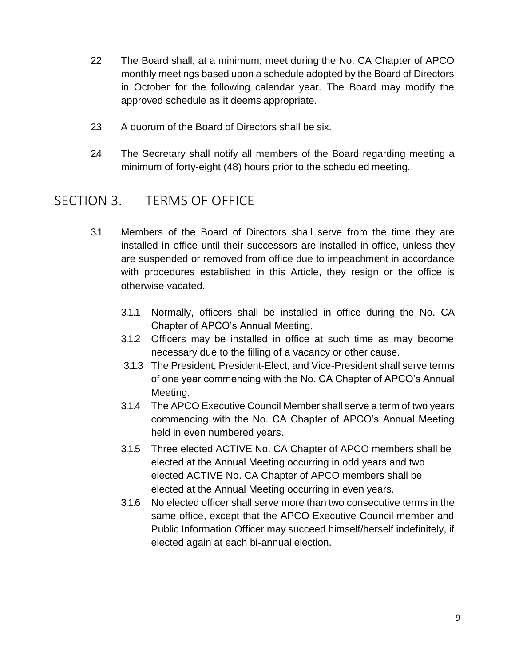- 22 The Board shall, at a minimum, meet during the No. CA Chapter of APCO monthly meetings based upon a schedule adopted by the Board of Directors in October for the following calendar year. The Board may modify the approved schedule as it deems appropriate.
- 23 A quorum of the Board of Directors shall be six.
- 24 The Secretary shall notify all members of the Board regarding meeting a minimum of forty-eight (48) hours prior to the scheduled meeting.

#### <span id="page-8-0"></span>SECTION 3. TERMS OF OFFICE

- 3.1 Members of the Board of Directors shall serve from the time they are installed in office until their successors are installed in office, unless they are suspended or removed from office due to impeachment in accordance with procedures established in this Article, they resign or the office is otherwise vacated.
	- 3.1.1 Normally, officers shall be installed in office during the No. CA Chapter of APCO's Annual Meeting.
	- 3.1.2 Officers may be installed in office at such time as may become necessary due to the filling of a vacancy or other cause.
	- 3.1.3 The President, President-Elect, and Vice-President shall serve terms of one year commencing with the No. CA Chapter of APCO's Annual Meeting.
	- 3.1.4 The APCO Executive Council Member shall serve a term of two years commencing with the No. CA Chapter of APCO's Annual Meeting held in even numbered years.
	- 3.1.5 Three elected ACTIVE No. CA Chapter of APCO members shall be elected at the Annual Meeting occurring in odd years and two elected ACTIVE No. CA Chapter of APCO members shall be elected at the Annual Meeting occurring in even years.
	- 3.1.6 No elected officer shall serve more than two consecutive terms in the same office, except that the APCO Executive Council member and Public Information Officer may succeed himself/herself indefinitely, if elected again at each bi-annual election.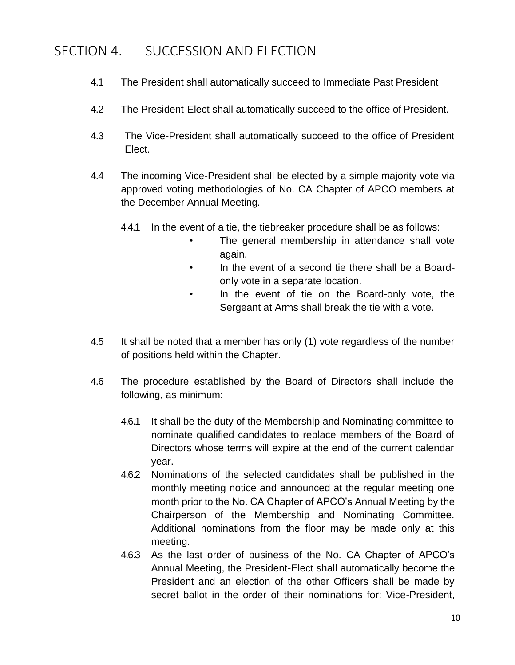#### <span id="page-9-0"></span>SECTION 4. SUCCESSION AND ELECTION

- 4.1 The President shall automatically succeed to Immediate Past President
- 4.2 The President-Elect shall automatically succeed to the office of President.
- 4.3 The Vice-President shall automatically succeed to the office of President Elect.
- 4.4 The incoming Vice-President shall be elected by a simple majority vote via approved voting methodologies of No. CA Chapter of APCO members at the December Annual Meeting.
	- 4.4.1 In the event of a tie, the tiebreaker procedure shall be as follows:
		- The general membership in attendance shall vote again.
		- In the event of a second tie there shall be a Boardonly vote in a separate location.
		- In the event of tie on the Board-only vote, the Sergeant at Arms shall break the tie with a vote.
- 4.5 It shall be noted that a member has only (1) vote regardless of the number of positions held within the Chapter.
- 4.6 The procedure established by the Board of Directors shall include the following, as minimum:
	- 4.6.1 It shall be the duty of the Membership and Nominating committee to nominate qualified candidates to replace members of the Board of Directors whose terms will expire at the end of the current calendar year.
	- 4.6.2 Nominations of the selected candidates shall be published in the monthly meeting notice and announced at the regular meeting one month prior to the No. CA Chapter of APCO's Annual Meeting by the Chairperson of the Membership and Nominating Committee. Additional nominations from the floor may be made only at this meeting.
	- 4.6.3 As the last order of business of the No. CA Chapter of APCO's Annual Meeting, the President-Elect shall automatically become the President and an election of the other Officers shall be made by secret ballot in the order of their nominations for: Vice-President,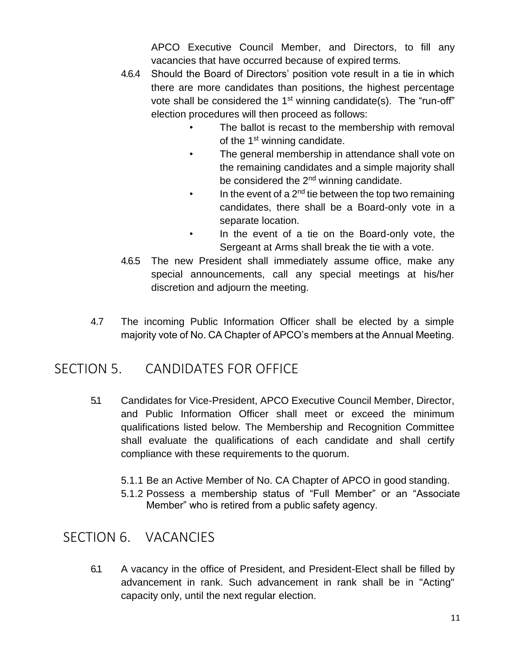APCO Executive Council Member, and Directors, to fill any vacancies that have occurred because of expired terms.

- 4.6.4 Should the Board of Directors' position vote result in a tie in which there are more candidates than positions, the highest percentage vote shall be considered the  $1<sup>st</sup>$  winning candidate(s). The "run-off" election procedures will then proceed as follows:
	- The ballot is recast to the membership with removal of the 1<sup>st</sup> winning candidate.
	- The general membership in attendance shall vote on the remaining candidates and a simple majority shall be considered the  $2<sup>nd</sup>$  winning candidate.
	- In the event of a  $2<sup>nd</sup>$  tie between the top two remaining candidates, there shall be a Board-only vote in a separate location.
	- In the event of a tie on the Board-only vote, the Sergeant at Arms shall break the tie with a vote.
- 4.6.5 The new President shall immediately assume office, make any special announcements, call any special meetings at his/her discretion and adjourn the meeting.
- 4.7 The incoming Public Information Officer shall be elected by a simple majority vote of No. CA Chapter of APCO's members at the Annual Meeting.

### <span id="page-10-0"></span>SECTION 5. CANDIDATES FOR OFFICE

- 5.1 Candidates for Vice-President, APCO Executive Council Member, Director, and Public Information Officer shall meet or exceed the minimum qualifications listed below. The Membership and Recognition Committee shall evaluate the qualifications of each candidate and shall certify compliance with these requirements to the quorum.
	- 5.1.1 Be an Active Member of No. CA Chapter of APCO in good standing.
	- 5.1.2 Possess a membership status of "Full Member" or an "Associate Member" who is retired from a public safety agency.

### <span id="page-10-1"></span>SECTION 6. VACANCIES

6.1 A vacancy in the office of President, and President-Elect shall be filled by advancement in rank. Such advancement in rank shall be in "Acting" capacity only, until the next regular election.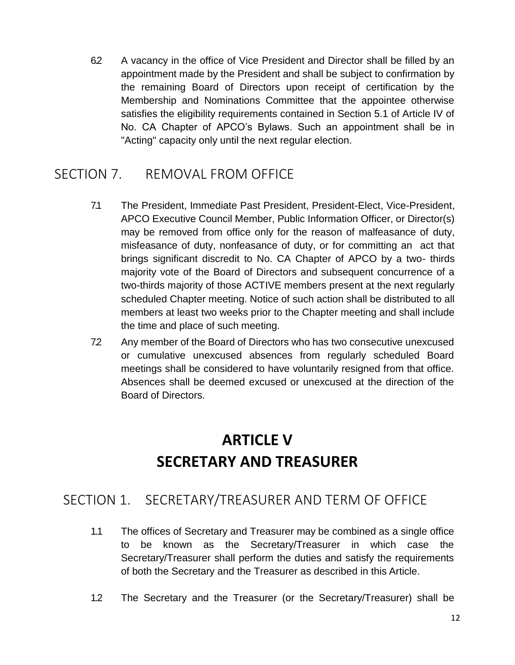6.2 A vacancy in the office of Vice President and Director shall be filled by an appointment made by the President and shall be subject to confirmation by the remaining Board of Directors upon receipt of certification by the Membership and Nominations Committee that the appointee otherwise satisfies the eligibility requirements contained in Section 5.1 of Article IV of No. CA Chapter of APCO's Bylaws. Such an appointment shall be in "Acting" capacity only until the next regular election.

### <span id="page-11-0"></span>SECTION 7. REMOVAL FROM OFFICE

- 7.1 The President, Immediate Past President, President-Elect, Vice-President, APCO Executive Council Member, Public Information Officer, or Director(s) may be removed from office only for the reason of malfeasance of duty, misfeasance of duty, nonfeasance of duty, or for committing an act that brings significant discredit to No. CA Chapter of APCO by a two- thirds majority vote of the Board of Directors and subsequent concurrence of a two-thirds majority of those ACTIVE members present at the next regularly scheduled Chapter meeting. Notice of such action shall be distributed to all members at least two weeks prior to the Chapter meeting and shall include the time and place of such meeting.
- 72 Any member of the Board of Directors who has two consecutive unexcused or cumulative unexcused absences from regularly scheduled Board meetings shall be considered to have voluntarily resigned from that office. Absences shall be deemed excused or unexcused at the direction of the Board of Directors.

# **ARTICLE V SECRETARY AND TREASURER**

#### <span id="page-11-2"></span><span id="page-11-1"></span>SECTION 1. SECRETARY/TREASURER AND TERM OF OFFICE

- 1.1 The offices of Secretary and Treasurer may be combined as a single office to be known as the Secretary/Treasurer in which case the Secretary/Treasurer shall perform the duties and satisfy the requirements of both the Secretary and the Treasurer as described in this Article.
- 1.2 The Secretary and the Treasurer (or the Secretary/Treasurer) shall be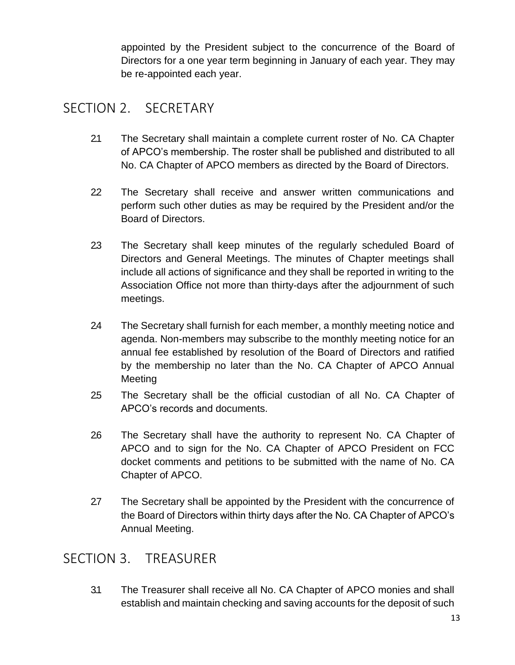appointed by the President subject to the concurrence of the Board of Directors for a one year term beginning in January of each year. They may be re-appointed each year.

#### <span id="page-12-0"></span>SECTION 2. SECRETARY

- 21 The Secretary shall maintain a complete current roster of No. CA Chapter of APCO's membership. The roster shall be published and distributed to all No. CA Chapter of APCO members as directed by the Board of Directors.
- 22 The Secretary shall receive and answer written communications and perform such other duties as may be required by the President and/or the Board of Directors.
- 2.3 The Secretary shall keep minutes of the regularly scheduled Board of Directors and General Meetings. The minutes of Chapter meetings shall include all actions of significance and they shall be reported in writing to the Association Office not more than thirty-days after the adjournment of such meetings.
- 24 The Secretary shall furnish for each member, a monthly meeting notice and agenda. Non-members may subscribe to the monthly meeting notice for an annual fee established by resolution of the Board of Directors and ratified by the membership no later than the No. CA Chapter of APCO Annual Meeting
- 25 The Secretary shall be the official custodian of all No. CA Chapter of APCO's records and documents.
- 26 The Secretary shall have the authority to represent No. CA Chapter of APCO and to sign for the No. CA Chapter of APCO President on FCC docket comments and petitions to be submitted with the name of No. CA Chapter of APCO.
- 27 The Secretary shall be appointed by the President with the concurrence of the Board of Directors within thirty days after the No. CA Chapter of APCO's Annual Meeting.

#### <span id="page-12-1"></span>SECTION 3. TREASURER

3.1 The Treasurer shall receive all No. CA Chapter of APCO monies and shall establish and maintain checking and saving accounts for the deposit of such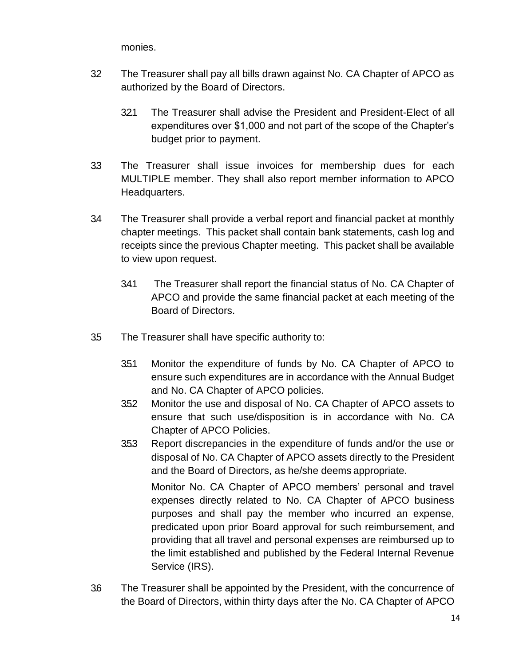monies.

- 32 The Treasurer shall pay all bills drawn against No. CA Chapter of APCO as authorized by the Board of Directors.
	- 3.2.1 The Treasurer shall advise the President and President-Elect of all expenditures over \$1,000 and not part of the scope of the Chapter's budget prior to payment.
- 3.3 The Treasurer shall issue invoices for membership dues for each MULTIPLE member. They shall also report member information to APCO Headquarters.
- 3.4 The Treasurer shall provide a verbal report and financial packet at monthly chapter meetings. This packet shall contain bank statements, cash log and receipts since the previous Chapter meeting. This packet shall be available to view upon request.
	- 3.4.1 The Treasurer shall report the financial status of No. CA Chapter of APCO and provide the same financial packet at each meeting of the Board of Directors.
- 3.5 The Treasurer shall have specific authority to:
	- 3.5.1 Monitor the expenditure of funds by No. CA Chapter of APCO to ensure such expenditures are in accordance with the Annual Budget and No. CA Chapter of APCO policies.
	- 3.5.2 Monitor the use and disposal of No. CA Chapter of APCO assets to ensure that such use/disposition is in accordance with No. CA Chapter of APCO Policies.
	- 3.5.3 Report discrepancies in the expenditure of funds and/or the use or disposal of No. CA Chapter of APCO assets directly to the President and the Board of Directors, as he/she deems appropriate.

Monitor No. CA Chapter of APCO members' personal and travel expenses directly related to No. CA Chapter of APCO business purposes and shall pay the member who incurred an expense, predicated upon prior Board approval for such reimbursement, and providing that all travel and personal expenses are reimbursed up to the limit established and published by the Federal Internal Revenue Service (IRS).

3.6 The Treasurer shall be appointed by the President, with the concurrence of the Board of Directors, within thirty days after the No. CA Chapter of APCO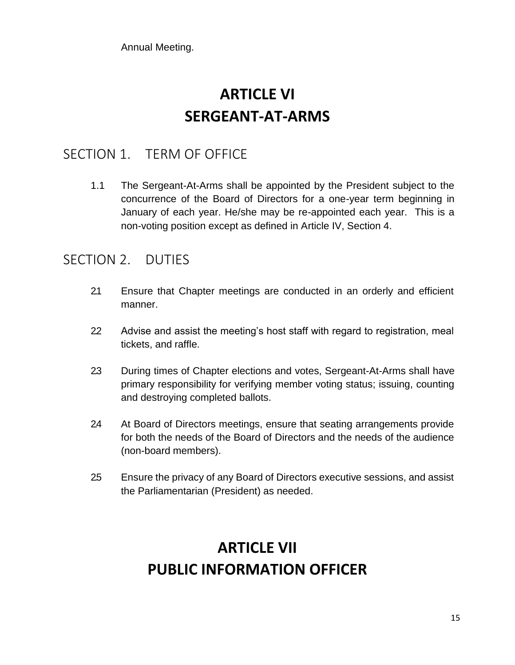<span id="page-14-0"></span>Annual Meeting.

## **ARTICLE VI SERGEANT-AT-ARMS**

#### <span id="page-14-1"></span>SECTION 1. TERM OF OFFICE

1.1 The Sergeant-At-Arms shall be appointed by the President subject to the concurrence of the Board of Directors for a one-year term beginning in January of each year. He/she may be re-appointed each year. This is a non-voting position except as defined in Article IV, Section 4.

#### <span id="page-14-2"></span>SECTION 2. DUTIES

- 21 Ensure that Chapter meetings are conducted in an orderly and efficient manner.
- 22 Advise and assist the meeting's host staff with regard to registration, meal tickets, and raffle.
- 2.3 During times of Chapter elections and votes, Sergeant-At-Arms shall have primary responsibility for verifying member voting status; issuing, counting and destroying completed ballots.
- 24 At Board of Directors meetings, ensure that seating arrangements provide for both the needs of the Board of Directors and the needs of the audience (non-board members).
- <span id="page-14-3"></span>2.5 Ensure the privacy of any Board of Directors executive sessions, and assist the Parliamentarian (President) as needed.

# **ARTICLE VII PUBLIC INFORMATION OFFICER**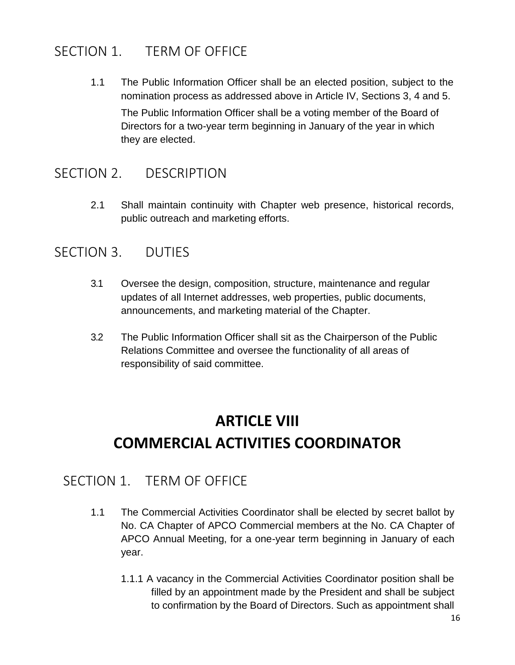### <span id="page-15-0"></span>SECTION 1. TERM OF OFFICE

1.1 The Public Information Officer shall be an elected position, subject to the nomination process as addressed above in Article IV, Sections 3, 4 and 5. The Public Information Officer shall be a voting member of the Board of Directors for a two-year term beginning in January of the year in which they are elected.

#### <span id="page-15-1"></span>SECTION 2. DESCRIPTION

2.1 Shall maintain continuity with Chapter web presence, historical records, public outreach and marketing efforts.

### <span id="page-15-2"></span>SECTION 3. DUTIES

- 3.1 Oversee the design, composition, structure, maintenance and regular updates of all Internet addresses, web properties, public documents, announcements, and marketing material of the Chapter.
- 3.2 The Public Information Officer shall sit as the Chairperson of the Public Relations Committee and oversee the functionality of all areas of responsibility of said committee.

# <span id="page-15-3"></span>**ARTICLE VIII COMMERCIAL ACTIVITIES COORDINATOR**

### <span id="page-15-4"></span>SECTION 1. TERM OF OFFICE

- 1.1 The Commercial Activities Coordinator shall be elected by secret ballot by No. CA Chapter of APCO Commercial members at the No. CA Chapter of APCO Annual Meeting, for a one-year term beginning in January of each year.
	- 1.1.1 A vacancy in the Commercial Activities Coordinator position shall be filled by an appointment made by the President and shall be subject to confirmation by the Board of Directors. Such as appointment shall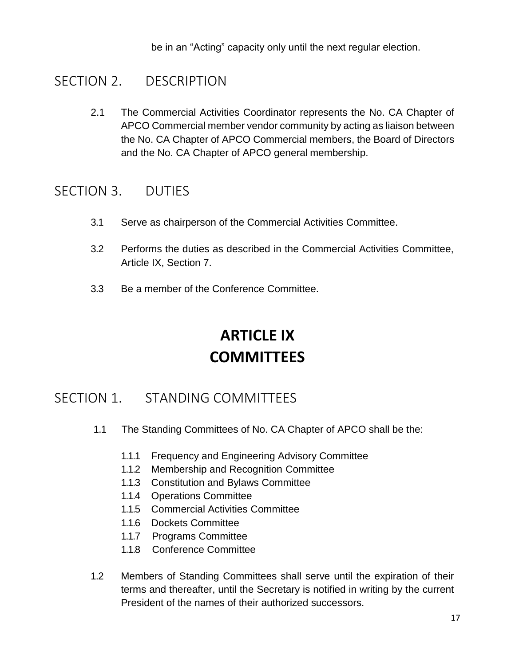be in an "Acting" capacity only until the next regular election.

#### <span id="page-16-0"></span>SECTION 2. DESCRIPTION

2.1 The Commercial Activities Coordinator represents the No. CA Chapter of APCO Commercial member vendor community by acting as liaison between the No. CA Chapter of APCO Commercial members, the Board of Directors and the No. CA Chapter of APCO general membership.

#### <span id="page-16-1"></span>SECTION 3. DUTIES

- 3.1 Serve as chairperson of the Commercial Activities Committee.
- 3.2 Performs the duties as described in the Commercial Activities Committee, Article IX, Section 7.
- <span id="page-16-2"></span>3.3 Be a member of the Conference Committee.

# **ARTICLE IX COMMITTEES**

### <span id="page-16-3"></span>SECTION 1. STANDING COMMITTEES

- 1.1 The Standing Committees of No. CA Chapter of APCO shall be the:
	- 1.1.1 Frequency and Engineering Advisory Committee
	- 1.1.2 Membership and Recognition Committee
	- 1.1.3 Constitution and Bylaws Committee
	- 1.1.4 Operations Committee
	- 1.1.5 Commercial Activities Committee
	- 1.1.6 Dockets Committee
	- 1.1.7 Programs Committee
	- 1.1.8 Conference Committee
- 1.2 Members of Standing Committees shall serve until the expiration of their terms and thereafter, until the Secretary is notified in writing by the current President of the names of their authorized successors.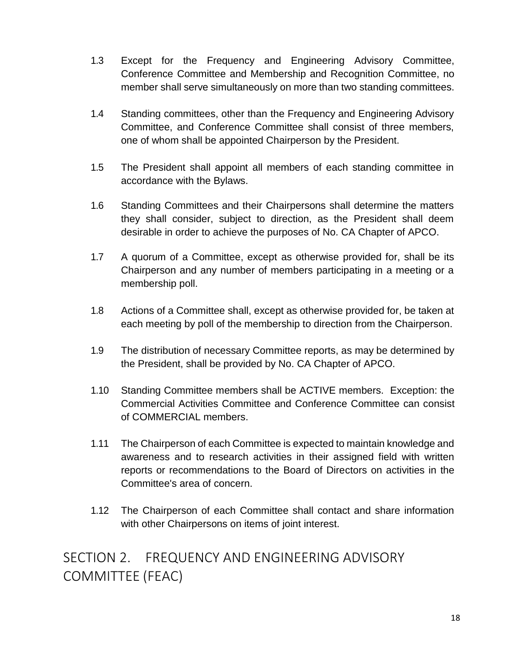- 1.3 Except for the Frequency and Engineering Advisory Committee, Conference Committee and Membership and Recognition Committee, no member shall serve simultaneously on more than two standing committees.
- 1.4 Standing committees, other than the Frequency and Engineering Advisory Committee, and Conference Committee shall consist of three members, one of whom shall be appointed Chairperson by the President.
- 1.5 The President shall appoint all members of each standing committee in accordance with the Bylaws.
- 1.6 Standing Committees and their Chairpersons shall determine the matters they shall consider, subject to direction, as the President shall deem desirable in order to achieve the purposes of No. CA Chapter of APCO.
- 1.7 A quorum of a Committee, except as otherwise provided for, shall be its Chairperson and any number of members participating in a meeting or a membership poll.
- 1.8 Actions of a Committee shall, except as otherwise provided for, be taken at each meeting by poll of the membership to direction from the Chairperson.
- 1.9 The distribution of necessary Committee reports, as may be determined by the President, shall be provided by No. CA Chapter of APCO.
- 1.10 Standing Committee members shall be ACTIVE members. Exception: the Commercial Activities Committee and Conference Committee can consist of COMMERCIAL members.
- 1.11 The Chairperson of each Committee is expected to maintain knowledge and awareness and to research activities in their assigned field with written reports or recommendations to the Board of Directors on activities in the Committee's area of concern.
- 1.12 The Chairperson of each Committee shall contact and share information with other Chairpersons on items of joint interest.

### <span id="page-17-0"></span>SECTION 2. FREQUENCY AND ENGINEERING ADVISORY COMMITTEE (FEAC)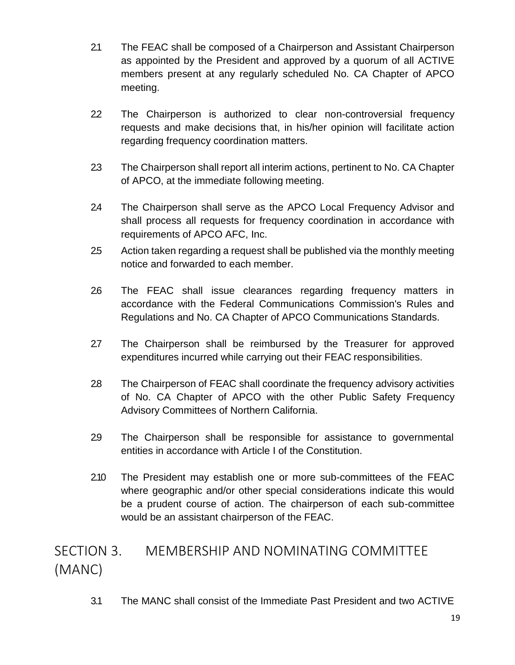- 21 The FEAC shall be composed of a Chairperson and Assistant Chairperson as appointed by the President and approved by a quorum of all ACTIVE members present at any regularly scheduled No. CA Chapter of APCO meeting.
- 22 The Chairperson is authorized to clear non-controversial frequency requests and make decisions that, in his/her opinion will facilitate action regarding frequency coordination matters.
- 2.3 The Chairperson shall report all interim actions, pertinent to No. CA Chapter of APCO, at the immediate following meeting.
- 24 The Chairperson shall serve as the APCO Local Frequency Advisor and shall process all requests for frequency coordination in accordance with requirements of APCO AFC, Inc.
- 2.5 Action taken regarding a request shall be published via the monthly meeting notice and forwarded to each member.
- 26 The FEAC shall issue clearances regarding frequency matters in accordance with the Federal Communications Commission's Rules and Regulations and No. CA Chapter of APCO Communications Standards.
- 27 The Chairperson shall be reimbursed by the Treasurer for approved expenditures incurred while carrying out their FEAC responsibilities.
- 28 The Chairperson of FEAC shall coordinate the frequency advisory activities of No. CA Chapter of APCO with the other Public Safety Frequency Advisory Committees of Northern California.
- 2.9 The Chairperson shall be responsible for assistance to governmental entities in accordance with Article I of the Constitution.
- 2.10 The President may establish one or more sub-committees of the FEAC where geographic and/or other special considerations indicate this would be a prudent course of action. The chairperson of each sub-committee would be an assistant chairperson of the FEAC.

### <span id="page-18-0"></span>SECTION 3. MEMBERSHIP AND NOMINATING COMMITTEE (MANC)

3.1 The MANC shall consist of the Immediate Past President and two ACTIVE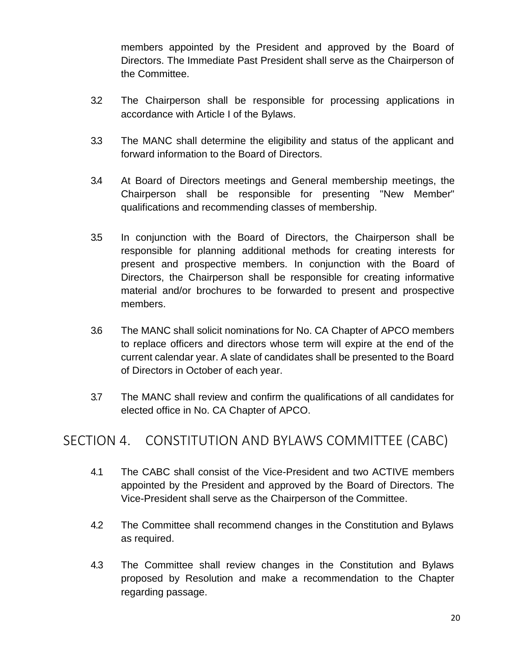members appointed by the President and approved by the Board of Directors. The Immediate Past President shall serve as the Chairperson of the Committee.

- 3.2 The Chairperson shall be responsible for processing applications in accordance with Article I of the Bylaws.
- 3.3 The MANC shall determine the eligibility and status of the applicant and forward information to the Board of Directors.
- 3.4 At Board of Directors meetings and General membership meetings, the Chairperson shall be responsible for presenting "New Member" qualifications and recommending classes of membership.
- 3.5 In conjunction with the Board of Directors, the Chairperson shall be responsible for planning additional methods for creating interests for present and prospective members. In conjunction with the Board of Directors, the Chairperson shall be responsible for creating informative material and/or brochures to be forwarded to present and prospective members.
- 3.6 The MANC shall solicit nominations for No. CA Chapter of APCO members to replace officers and directors whose term will expire at the end of the current calendar year. A slate of candidates shall be presented to the Board of Directors in October of each year.
- 3.7 The MANC shall review and confirm the qualifications of all candidates for elected office in No. CA Chapter of APCO.

#### <span id="page-19-0"></span>SECTION 4. CONSTITUTION AND BYLAWS COMMITTEE (CABC)

- 4.1 The CABC shall consist of the Vice-President and two ACTIVE members appointed by the President and approved by the Board of Directors. The Vice-President shall serve as the Chairperson of the Committee.
- 4.2 The Committee shall recommend changes in the Constitution and Bylaws as required.
- 4.3 The Committee shall review changes in the Constitution and Bylaws proposed by Resolution and make a recommendation to the Chapter regarding passage.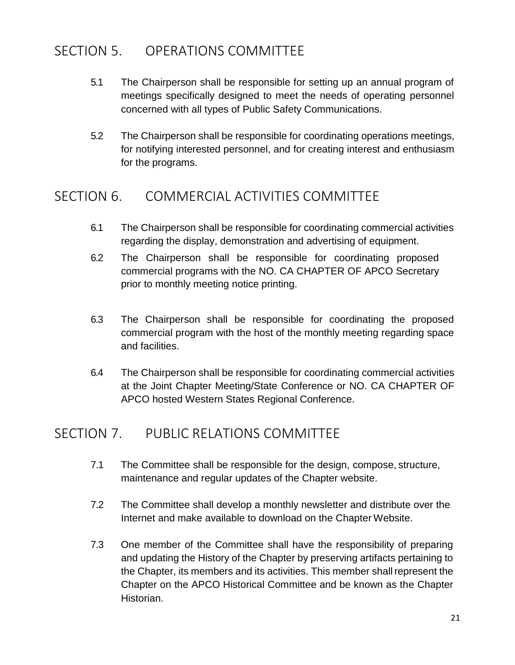### <span id="page-20-0"></span>SECTION 5. OPERATIONS COMMITTEE

- 5.1 The Chairperson shall be responsible for setting up an annual program of meetings specifically designed to meet the needs of operating personnel concerned with all types of Public Safety Communications.
- 5.2 The Chairperson shall be responsible for coordinating operations meetings, for notifying interested personnel, and for creating interest and enthusiasm for the programs.

#### <span id="page-20-1"></span>SECTION 6. COMMERCIAL ACTIVITIES COMMITTEE

- 6.1 The Chairperson shall be responsible for coordinating commercial activities regarding the display, demonstration and advertising of equipment.
- 6.2 The Chairperson shall be responsible for coordinating proposed commercial programs with the NO. CA CHAPTER OF APCO Secretary prior to monthly meeting notice printing.
- 6.3 The Chairperson shall be responsible for coordinating the proposed commercial program with the host of the monthly meeting regarding space and facilities.
- 6.4 The Chairperson shall be responsible for coordinating commercial activities at the Joint Chapter Meeting/State Conference or NO. CA CHAPTER OF APCO hosted Western States Regional Conference.

### <span id="page-20-2"></span>SECTION 7. PUBLIC RELATIONS COMMITTEE

- 7.1 The Committee shall be responsible for the design, compose, structure, maintenance and regular updates of the Chapter website.
- 7.2 The Committee shall develop a monthly newsletter and distribute over the Internet and make available to download on the Chapter Website.
- 7.3 One member of the Committee shall have the responsibility of preparing and updating the History of the Chapter by preserving artifacts pertaining to the Chapter, its members and its activities. This member shallrepresent the Chapter on the APCO Historical Committee and be known as the Chapter Historian.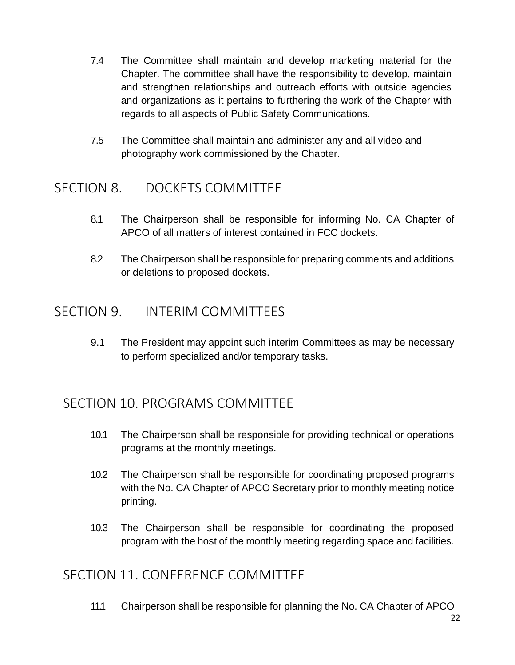- 7.4 The Committee shall maintain and develop marketing material for the Chapter. The committee shall have the responsibility to develop, maintain and strengthen relationships and outreach efforts with outside agencies and organizations as it pertains to furthering the work of the Chapter with regards to all aspects of Public Safety Communications.
- 7.5 The Committee shall maintain and administer any and all video and photography work commissioned by the Chapter.

#### <span id="page-21-0"></span>SECTION 8. DOCKETS COMMITTEE

- 8.1 The Chairperson shall be responsible for informing No. CA Chapter of APCO of all matters of interest contained in FCC dockets.
- 8.2 The Chairperson shall be responsible for preparing comments and additions or deletions to proposed dockets.

#### <span id="page-21-1"></span>SECTION 9. INTERIM COMMITTEES

9.1 The President may appoint such interim Committees as may be necessary to perform specialized and/or temporary tasks.

### <span id="page-21-2"></span>SECTION 10. PROGRAMS COMMITTEE

- 10.1 The Chairperson shall be responsible for providing technical or operations programs at the monthly meetings.
- 10.2 The Chairperson shall be responsible for coordinating proposed programs with the No. CA Chapter of APCO Secretary prior to monthly meeting notice printing.
- 10.3 The Chairperson shall be responsible for coordinating the proposed program with the host of the monthly meeting regarding space and facilities.

#### <span id="page-21-3"></span>SECTION 11. CONFERENCE COMMITTEE

11.1 Chairperson shall be responsible for planning the No. CA Chapter of APCO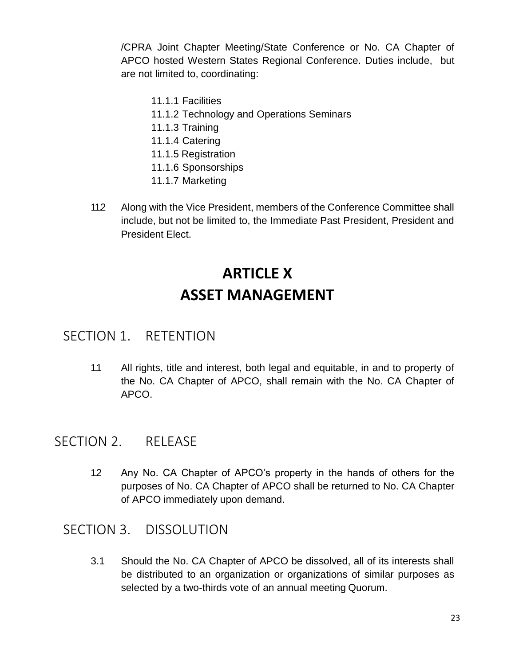/CPRA Joint Chapter Meeting/State Conference or No. CA Chapter of APCO hosted Western States Regional Conference. Duties include, but are not limited to, coordinating:

- 11.1.1 Facilities
- 11.1.2 Technology and Operations Seminars
- 11.1.3 Training
- 11.1.4 Catering
- 11.1.5 Registration
- 11.1.6 Sponsorships
- 11.1.7 Marketing
- 112 Along with the Vice President, members of the Conference Committee shall include, but not be limited to, the Immediate Past President, President and President Elect.

## **ARTICLE X ASSET MANAGEMENT**

#### <span id="page-22-1"></span><span id="page-22-0"></span>SECTION 1. RETENTION

1.1 All rights, title and interest, both legal and equitable, in and to property of the No. CA Chapter of APCO, shall remain with the No. CA Chapter of APCO.

#### <span id="page-22-2"></span>SECTION 2. RELEASE

12 Any No. CA Chapter of APCO's property in the hands of others for the purposes of No. CA Chapter of APCO shall be returned to No. CA Chapter of APCO immediately upon demand.

#### <span id="page-22-3"></span>SECTION 3. DISSOLUTION

3.1 Should the No. CA Chapter of APCO be dissolved, all of its interests shall be distributed to an organization or organizations of similar purposes as selected by a two-thirds vote of an annual meeting Quorum.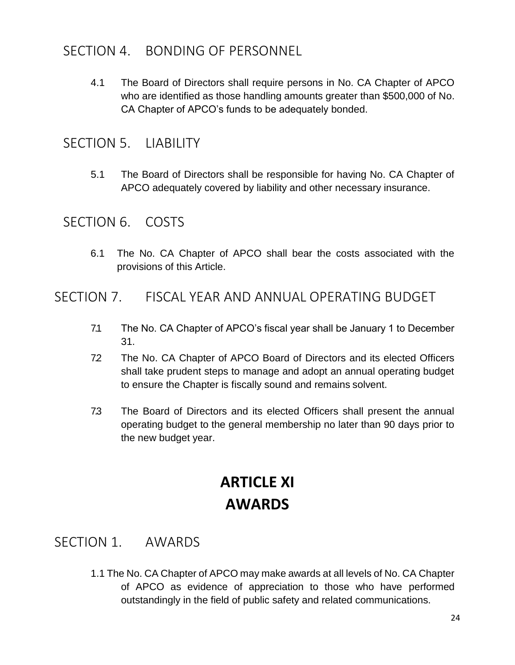#### <span id="page-23-0"></span>SECTION 4. BONDING OF PERSONNEL

4.1 The Board of Directors shall require persons in No. CA Chapter of APCO who are identified as those handling amounts greater than \$500,000 of No. CA Chapter of APCO's funds to be adequately bonded.

#### <span id="page-23-1"></span>SECTION 5. LIABILITY

5.1 The Board of Directors shall be responsible for having No. CA Chapter of APCO adequately covered by liability and other necessary insurance.

#### <span id="page-23-2"></span>SECTION 6. COSTS

6.1 The No. CA Chapter of APCO shall bear the costs associated with the provisions of this Article.

#### <span id="page-23-3"></span>SECTION 7. FISCAL YEAR AND ANNUAL OPERATING BUDGET

- 7.1 The No. CA Chapter of APCO's fiscal year shall be January 1 to December 31.
- 72 The No. CA Chapter of APCO Board of Directors and its elected Officers shall take prudent steps to manage and adopt an annual operating budget to ensure the Chapter is fiscally sound and remains solvent.
- 7.3 The Board of Directors and its elected Officers shall present the annual operating budget to the general membership no later than 90 days prior to the new budget year.

# **ARTICLE XI AWARDS**

#### <span id="page-23-5"></span><span id="page-23-4"></span>SECTION 1. AWARDS

1.1 The No. CA Chapter of APCO may make awards at all levels of No. CA Chapter of APCO as evidence of appreciation to those who have performed outstandingly in the field of public safety and related communications.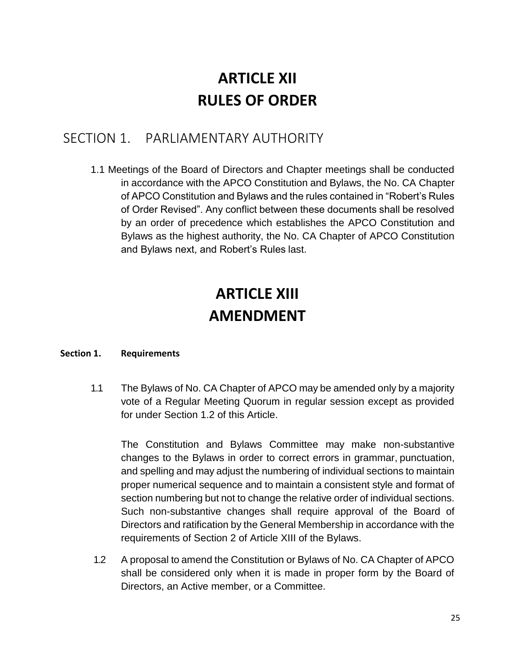# **ARTICLE XII RULES OF ORDER**

#### <span id="page-24-1"></span><span id="page-24-0"></span>SECTION 1. PARLIAMENTARY AUTHORITY

1.1 Meetings of the Board of Directors and Chapter meetings shall be conducted in accordance with the APCO Constitution and Bylaws, the No. CA Chapter of APCO Constitution and Bylaws and the rules contained in "Robert's Rules of Order Revised". Any conflict between these documents shall be resolved by an order of precedence which establishes the APCO Constitution and Bylaws as the highest authority, the No. CA Chapter of APCO Constitution and Bylaws next, and Robert's Rules last.

## **ARTICLE XIII AMENDMENT**

#### <span id="page-24-2"></span>**Section 1. Requirements**

1.1 The Bylaws of No. CA Chapter of APCO may be amended only by a majority vote of a Regular Meeting Quorum in regular session except as provided for under Section 1.2 of this Article.

The Constitution and Bylaws Committee may make non-substantive changes to the Bylaws in order to correct errors in grammar, punctuation, and spelling and may adjust the numbering of individual sections to maintain proper numerical sequence and to maintain a consistent style and format of section numbering but not to change the relative order of individual sections. Such non-substantive changes shall require approval of the Board of Directors and ratification by the General Membership in accordance with the requirements of Section 2 of Article XIII of the Bylaws.

1.2 A proposal to amend the Constitution or Bylaws of No. CA Chapter of APCO shall be considered only when it is made in proper form by the Board of Directors, an Active member, or a Committee.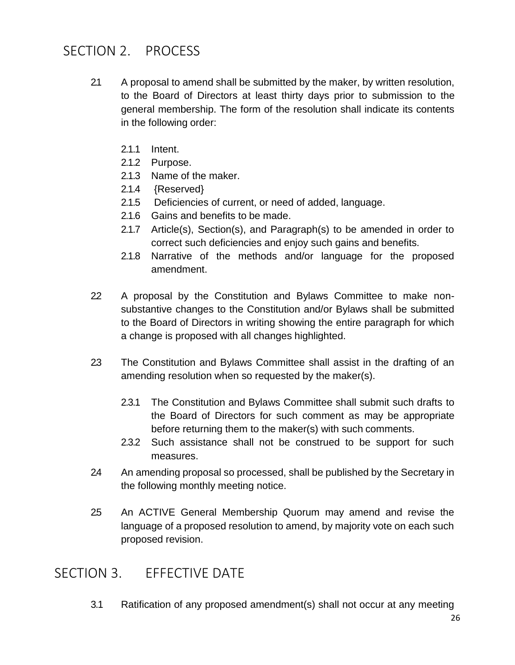### <span id="page-25-0"></span>SECTION 2. PROCESS

- 21 A proposal to amend shall be submitted by the maker, by written resolution, to the Board of Directors at least thirty days prior to submission to the general membership. The form of the resolution shall indicate its contents in the following order:
	- 2.1.1 Intent.
	- 2.1.2 Purpose.
	- 2.1.3 Name of the maker.
	- 2.1.4 {Reserved}
	- 2.1.5 Deficiencies of current, or need of added, language.
	- 2.1.6 Gains and benefits to be made.
	- 2.1.7 Article(s), Section(s), and Paragraph(s) to be amended in order to correct such deficiencies and enjoy such gains and benefits.
	- 2.1.8 Narrative of the methods and/or language for the proposed amendment.
- 22 A proposal by the Constitution and Bylaws Committee to make nonsubstantive changes to the Constitution and/or Bylaws shall be submitted to the Board of Directors in writing showing the entire paragraph for which a change is proposed with all changes highlighted.
- 23 The Constitution and Bylaws Committee shall assist in the drafting of an amending resolution when so requested by the maker(s).
	- 2.3.1 The Constitution and Bylaws Committee shall submit such drafts to the Board of Directors for such comment as may be appropriate before returning them to the maker(s) with such comments.
	- 2.3.2 Such assistance shall not be construed to be support for such measures.
- 24 An amending proposal so processed, shall be published by the Secretary in the following monthly meeting notice.
- 25 An ACTIVE General Membership Quorum may amend and revise the language of a proposed resolution to amend, by majority vote on each such proposed revision.

#### <span id="page-25-1"></span>SECTION 3. EFFECTIVE DATE

3.1 Ratification of any proposed amendment(s) shall not occur at any meeting